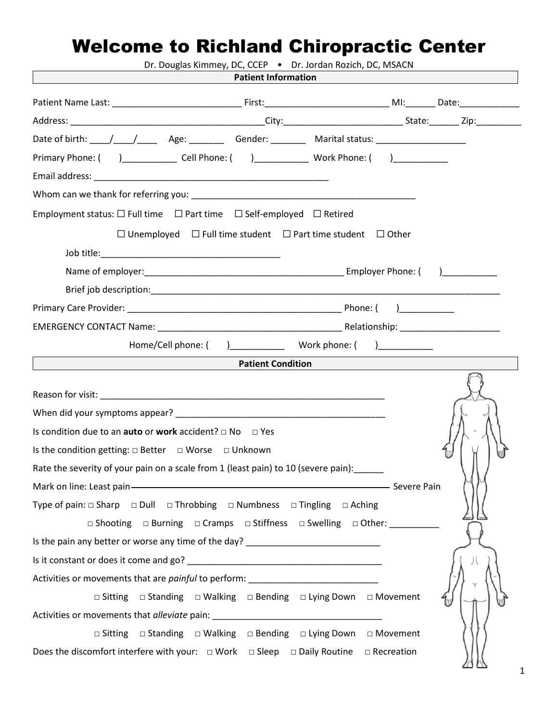## Welcome to Richland Chiropractic Center

| Dr. Douglas Kimmey, DC, CCEP . Dr. Jordan Rozich, DC, MSACN<br><b>Patient Information</b><br><u> 1989 - Johann Barn, mars eta bainar eta industrial eta baina eta baina eta baina eta baina eta baina eta bain</u> |                          |
|--------------------------------------------------------------------------------------------------------------------------------------------------------------------------------------------------------------------|--------------------------|
|                                                                                                                                                                                                                    |                          |
|                                                                                                                                                                                                                    |                          |
|                                                                                                                                                                                                                    |                          |
| Primary Phone: () Cell Phone: () Work Phone: ()                                                                                                                                                                    |                          |
|                                                                                                                                                                                                                    |                          |
|                                                                                                                                                                                                                    |                          |
| Employment status: $\square$ Full time $\square$ Part time $\square$ Self-employed $\square$ Retired                                                                                                               |                          |
|                                                                                                                                                                                                                    |                          |
| $\Box$ Unemployed $\Box$ Full time student $\Box$ Part time student $\Box$ Other                                                                                                                                   |                          |
|                                                                                                                                                                                                                    |                          |
|                                                                                                                                                                                                                    |                          |
|                                                                                                                                                                                                                    |                          |
|                                                                                                                                                                                                                    |                          |
|                                                                                                                                                                                                                    |                          |
|                                                                                                                                                                                                                    |                          |
| <u> 1990 - Johann Barbara, martxa a shekara 1991 - </u>                                                                                                                                                            | <b>Patient Condition</b> |
|                                                                                                                                                                                                                    |                          |
|                                                                                                                                                                                                                    |                          |
| Is condition due to an <b>auto</b> or <b>work</b> accident? $\Box$ No $\Box$ Yes                                                                                                                                   |                          |
| Is the condition getting: $\Box$ Better $\Box$ Worse $\Box$ Unknown                                                                                                                                                |                          |
| Rate the severity of your pain on a scale from 1 (least pain) to 10 (severe pain):                                                                                                                                 |                          |
| Mark on line: Least pain - The Commission of the Severe Pain                                                                                                                                                       |                          |
| Type of pain: $\Box$ Sharp $\Box$ Dull $\Box$ Throbbing $\Box$ Numbness $\Box$ Tingling $\Box$ Aching                                                                                                              |                          |
| $\Box$ Shooting $\Box$ Burning $\Box$ Cramps $\Box$ Stiffness $\Box$ Swelling $\Box$ Other:                                                                                                                        |                          |
| Is the pain any better or worse any time of the day? ___________________________                                                                                                                                   |                          |
|                                                                                                                                                                                                                    |                          |
| Activities or movements that are <i>painful</i> to perform: ___________________________                                                                                                                            |                          |
| □ Sitting □ Standing □ Walking □ Bending □ Lying Down □ Movement                                                                                                                                                   |                          |
| Activities or movements that alleviate pain: ___________________________________                                                                                                                                   |                          |
| <b>□ Sitting □ Standing □ Walking □ Bending □ Lying Down □ Movement</b>                                                                                                                                            |                          |
| Does the discomfort interfere with your: $\Box$ Work $\Box$ Sleep $\Box$ Daily Routine $\Box$ Recreation                                                                                                           |                          |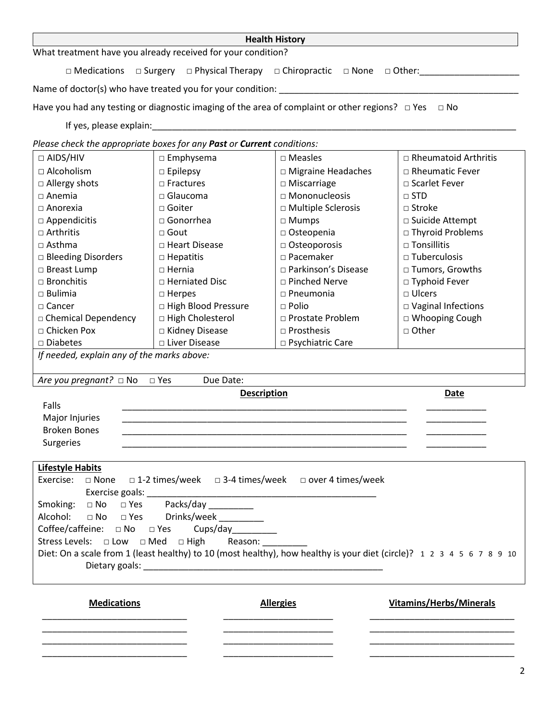| <b>Health History</b>                                                  |                                 |                                                                                                                |                                                                                                                       |  |  |
|------------------------------------------------------------------------|---------------------------------|----------------------------------------------------------------------------------------------------------------|-----------------------------------------------------------------------------------------------------------------------|--|--|
| What treatment have you already received for your condition?           |                                 |                                                                                                                |                                                                                                                       |  |  |
| $\Box$ Medications                                                     |                                 | □ Surgery □ Physical Therapy □ Chiropractic □ None □ Other:<br>□ 2011                                          |                                                                                                                       |  |  |
|                                                                        |                                 | Name of doctor(s) who have treated you for your condition: _____________________                               |                                                                                                                       |  |  |
|                                                                        |                                 | Have you had any testing or diagnostic imaging of the area of complaint or other regions? $\Box$ Yes $\Box$ No |                                                                                                                       |  |  |
| If yes, please explain:                                                |                                 |                                                                                                                |                                                                                                                       |  |  |
| Please check the appropriate boxes for any Past or Current conditions: |                                 |                                                                                                                |                                                                                                                       |  |  |
| $\Box$ AIDS/HIV                                                        | $\square$ Emphysema             | $\square$ Measles                                                                                              | $\Box$ Rheumatoid Arthritis                                                                                           |  |  |
| □ Alcoholism                                                           | $\Box$ Epilepsy                 | □ Migraine Headaches                                                                                           | $\Box$ Rheumatic Fever                                                                                                |  |  |
| $\Box$ Allergy shots                                                   | $\Box$ Fractures                | $\Box$ Miscarriage                                                                                             | □ Scarlet Fever                                                                                                       |  |  |
| $\Box$ Anemia                                                          | $\square$ Glaucoma              | □ Mononucleosis                                                                                                | $\Box$ STD                                                                                                            |  |  |
| $\Box$ Anorexia                                                        | $\sqcap$ Goiter                 | □ Multiple Sclerosis                                                                                           | □ Stroke                                                                                                              |  |  |
| $\square$ Appendicitis                                                 | □ Gonorrhea                     | $\Box$ Mumps                                                                                                   | □ Suicide Attempt                                                                                                     |  |  |
| $\Box$ Arthritis                                                       | $\sqcap$ Gout                   | $\Box$ Osteopenia                                                                                              | □ Thyroid Problems                                                                                                    |  |  |
| $\Box$ Asthma                                                          | □ Heart Disease                 | □ Osteoporosis                                                                                                 | $\square$ Tonsillitis                                                                                                 |  |  |
| □ Bleeding Disorders                                                   |                                 | $\Box$ Pacemaker                                                                                               | $\square$ Tuberculosis                                                                                                |  |  |
|                                                                        | $\Box$ Hepatitis                | □ Parkinson's Disease                                                                                          |                                                                                                                       |  |  |
| □ Breast Lump                                                          | $\Box$ Hernia                   |                                                                                                                | □ Tumors, Growths                                                                                                     |  |  |
| $\Box$ Bronchitis                                                      | □ Herniated Disc                | □ Pinched Nerve                                                                                                | □ Typhoid Fever                                                                                                       |  |  |
| $\square$ Bulimia                                                      | $\square$ Herpes                | $\Box$ Pneumonia                                                                                               | $\square$ Ulcers                                                                                                      |  |  |
| $\Box$ Cancer                                                          | □ High Blood Pressure           | $\Box$ Polio                                                                                                   | □ Vaginal Infections                                                                                                  |  |  |
| □ Chemical Dependency                                                  | □ High Cholesterol              | □ Prostate Problem                                                                                             | □ Whooping Cough                                                                                                      |  |  |
| □ Chicken Pox                                                          | □ Kidney Disease                | $\Box$ Prosthesis                                                                                              | $\Box$ Other                                                                                                          |  |  |
| $\square$ Diabetes                                                     | □ Liver Disease                 | □ Psychiatric Care                                                                                             |                                                                                                                       |  |  |
| If needed, explain any of the marks above:                             |                                 |                                                                                                                |                                                                                                                       |  |  |
| Are you pregnant? $\square$ No                                         | $\square$ Yes<br>Due Date:      |                                                                                                                |                                                                                                                       |  |  |
|                                                                        | <b>Description</b>              |                                                                                                                | <b>Date</b>                                                                                                           |  |  |
| Falls                                                                  |                                 |                                                                                                                |                                                                                                                       |  |  |
| Major Injuries                                                         |                                 |                                                                                                                |                                                                                                                       |  |  |
| <b>Broken Bones</b>                                                    |                                 |                                                                                                                |                                                                                                                       |  |  |
| Surgeries                                                              |                                 |                                                                                                                |                                                                                                                       |  |  |
| <b>Lifestyle Habits</b>                                                |                                 |                                                                                                                |                                                                                                                       |  |  |
| Exercise:<br>$\square$ None                                            |                                 | □ 1-2 times/week □ 3-4 times/week □ over 4 times/week                                                          |                                                                                                                       |  |  |
|                                                                        |                                 |                                                                                                                |                                                                                                                       |  |  |
|                                                                        |                                 |                                                                                                                |                                                                                                                       |  |  |
| Smoking: □ No □ Yes Packs/day _________<br>Alcohol:                    | □ No □ Yes Drinks/week ________ |                                                                                                                |                                                                                                                       |  |  |
|                                                                        |                                 |                                                                                                                |                                                                                                                       |  |  |
| Coffee/caffeine: $\square$ No $\square$ Yes                            | Cups/day_________               |                                                                                                                |                                                                                                                       |  |  |
| Stress Levels: □ Low □ Med □ High                                      | Reason:                         |                                                                                                                |                                                                                                                       |  |  |
|                                                                        |                                 |                                                                                                                | Diet: On a scale from 1 (least healthy) to 10 (most healthy), how healthy is your diet (circle)? 1 2 3 4 5 6 7 8 9 10 |  |  |
|                                                                        |                                 |                                                                                                                |                                                                                                                       |  |  |
| <b>Medications</b>                                                     |                                 | <b>Allergies</b>                                                                                               | <b>Vitamins/Herbs/Minerals</b>                                                                                        |  |  |
|                                                                        |                                 |                                                                                                                |                                                                                                                       |  |  |
|                                                                        |                                 |                                                                                                                |                                                                                                                       |  |  |
|                                                                        |                                 |                                                                                                                |                                                                                                                       |  |  |
|                                                                        |                                 |                                                                                                                |                                                                                                                       |  |  |

| ٠ |
|---|
| I |
|   |
|   |
|   |